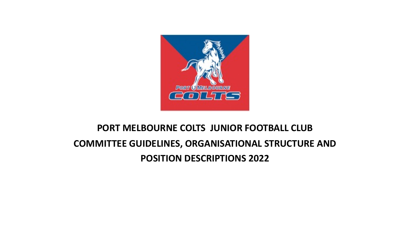

# **PORT MELBOURNE COLTS JUNIOR FOOTBALL CLUB COMMITTEE GUIDELINES, ORGANISATIONAL STRUCTURE AND POSITION DESCRIPTIONS 2022**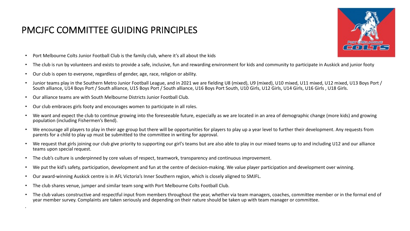### PMCJFC COMMITTEE GUIDING PRINCIPLES



- Port Melbourne Colts Junior Football Club is the family club, where it's all about the kids
- The club is run by volunteers and exists to provide a safe, inclusive, fun and rewarding environment for kids and community to participate in Auskick and junior footy
- Our club is open to everyone, regardless of gender, age, race, religion or ability.
- Junior teams play in the Southern Metro Junior Football League, and in 2021 we are fielding U8 (mixed), U9 (mixed), U10 mixed, U11 mixed, U12 mixed, U13 Boys Port / South alliance, U14 Boys Port / South alliance, U15 Boys Port / South alliance, U16 Boys Port South, U10 Girls, U12 Girls, U14 Girls, U16 Girls, U18 Girls.
- Our alliance teams are with South Melbourne Districts Junior Football Club.

•

- Our club embraces girls footy and encourages women to participate in all roles.
- We want and expect the club to continue growing into the foreseeable future, especially as we are located in an area of demographic change (more kids) and growing population (including Fishermen's Bend).
- We encourage all players to play in their age group but there will be opportunities for players to play up a year level to further their development. Any requests from parents for a child to play up must be submitted to the committee in writing for approval.
- We request that girls joining our club give priority to supporting our girl's teams but are also able to play in our mixed teams up to and including U12 and our alliance teams upon special request.
- The club's culture is underpinned by core values of respect, teamwork, transparency and continuous improvement.
- We put the kid's safety, participation, development and fun at the centre of decision-making. We value player participation and development over winning.
- Our award-winning Auskick centre is in AFL Victoria's Inner Southern region, which is closely aligned to SMJFL.
- The club shares venue, jumper and similar team song with Port Melbourne Colts Football Club.
- The club values constructive and respectful input from members throughout the year, whether via team managers, coaches, committee member or in the formal end of year member survey. Complaints are taken seriously and depending on their nature should be taken up with team manager or committee.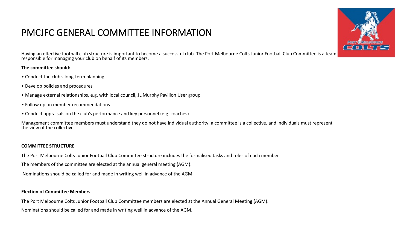### PMCJFC GENERAL COMMITTEE INFORMATION

Having an effective football club structure is important to become a successful club. The Port Melbourne Colts Junior Football Club Committee is a team responsible for managing your club on behalf of its members.

#### **The committee should:**

- Conduct the club's long-term planning
- Develop policies and procedures
- Manage external relationships, e.g. with local council, JL Murphy Pavilion User group
- Follow up on member recommendations
- Conduct appraisals on the club's performance and key personnel (e.g. coaches)

Management committee members must understand they do not have individual authority: a committee is a collective, and individuals must represent the view of the collective

#### **COMMITTEE STRUCTURE**

The Port Melbourne Colts Junior Football Club Committee structure includes the formalised tasks and roles of each member.

The members of the committee are elected at the annual general meeting (AGM).

Nominations should be called for and made in writing well in advance of the AGM.

#### **Election of Committee Members**

The Port Melbourne Colts Junior Football Club Committee members are elected at the Annual General Meeting (AGM).

Nominations should be called for and made in writing well in advance of the AGM.

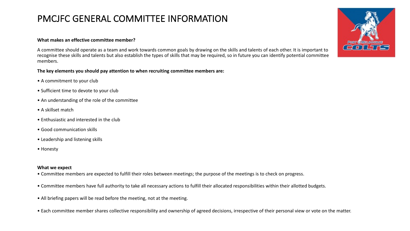### PMCJFC GENERAL COMMITTEE INFORMATION

#### **What makes an effective committee member?**

A committee should operate as a team and work towards common goals by drawing on the skills and talents of each other. It is important to recognise these skills and talents but also establish the types of skills that may be required, so in future you can identify potential committee members.

**The key elements you should pay attention to when recruiting committee members are:** 

- A commitment to your club
- Sufficient time to devote to your club
- An understanding of the role of the committee
- A skillset match
- Enthusiastic and interested in the club
- Good communication skills
- Leadership and listening skills
- Honesty

#### **What we expect**

- Committee members are expected to fulfill their roles between meetings; the purpose of the meetings is to check on progress.
- Committee members have full authority to take all necessary actions to fulfill their allocated responsibilities within their allotted budgets.
- All briefing papers will be read before the meeting, not at the meeting.
- Each committee member shares collective responsibility and ownership of agreed decisions, irrespective of their personal view or vote on the matter.

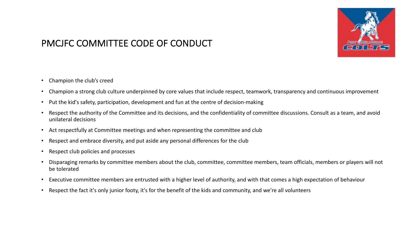

# PMCJFC COMMITTEE CODE OF CONDUCT

- Champion the club's creed
- Champion a strong club culture underpinned by core values that include respect, teamwork, transparency and continuous improvement
- Put the kid's safety, participation, development and fun at the centre of decision-making
- Respect the authority of the Committee and its decisions, and the confidentiality of committee discussions. Consult as a team, and avoid unilateral decisions
- Act respectfully at Committee meetings and when representing the committee and club
- Respect and embrace diversity, and put aside any personal differences for the club
- Respect club policies and processes
- Disparaging remarks by committee members about the club, committee, committee members, team officials, members or players will not be tolerated
- Executive committee members are entrusted with a higher level of authority, and with that comes a high expectation of behaviour
- Respect the fact it's only junior footy, it's for the benefit of the kids and community, and we're all volunteers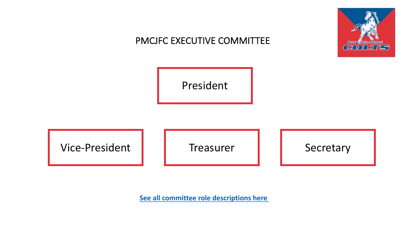# PMCJFC EXECUTIVE COMMITTI

[President](https://portcoltsjuniorfootballclub.com.au/content/committee-roles-2020.php)

Vice-President | Treasurer

**See all committee role descriptions here**